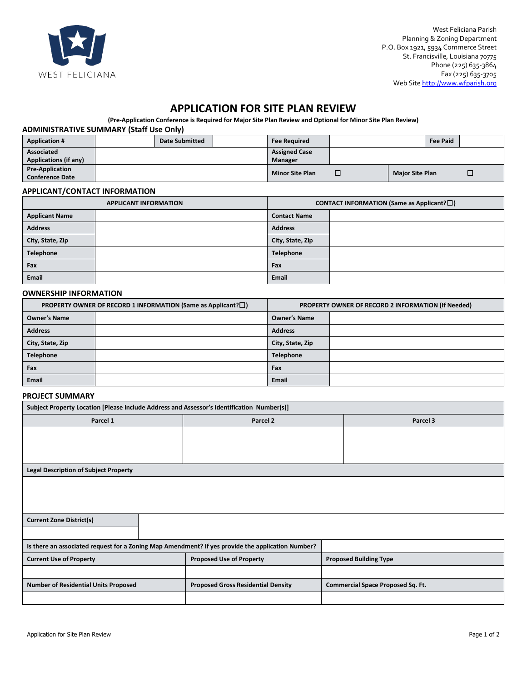

# **APPLICATION FOR SITE PLAN REVIEW**

**(Pre-Application Conference is Required for Major Site Plan Review and Optional for Minor Site Plan Review)**

#### **ADMINISTRATIVE SUMMARY (Staff Use Only)**

| <b>Application #</b>         | <b>Date Submitted</b> | <b>Fee Required</b>    |   |                        | <b>Fee Paid</b> |   |
|------------------------------|-----------------------|------------------------|---|------------------------|-----------------|---|
| <b>Associated</b>            |                       | <b>Assigned Case</b>   |   |                        |                 |   |
| <b>Applications (if any)</b> |                       | Manager                |   |                        |                 |   |
| <b>Pre-Application</b>       |                       | <b>Minor Site Plan</b> |   | <b>Major Site Plan</b> |                 |   |
| <b>Conference Date</b>       |                       |                        | ╌ |                        |                 | - |

#### **APPLICANT/CONTACT INFORMATION**

| <b>APPLICANT INFORMATION</b> |  | <b>CONTACT INFORMATION (Same as Applicant?<math>\square</math>)</b> |  |  |
|------------------------------|--|---------------------------------------------------------------------|--|--|
| <b>Applicant Name</b>        |  | <b>Contact Name</b>                                                 |  |  |
| <b>Address</b>               |  | <b>Address</b>                                                      |  |  |
| City, State, Zip             |  | City, State, Zip                                                    |  |  |
| Telephone                    |  | <b>Telephone</b>                                                    |  |  |
| Fax                          |  | Fax                                                                 |  |  |
| Email                        |  | Email                                                               |  |  |

#### **OWNERSHIP INFORMATION**

| PROPERTY OWNER OF RECORD 1 INFORMATION (Same as Applicant? $\square$ ) |                     | <b>PROPERTY OWNER OF RECORD 2 INFORMATION (If Needed)</b> |                     |  |
|------------------------------------------------------------------------|---------------------|-----------------------------------------------------------|---------------------|--|
|                                                                        | <b>Owner's Name</b> |                                                           | <b>Owner's Name</b> |  |
|                                                                        | <b>Address</b>      |                                                           | <b>Address</b>      |  |
|                                                                        | City, State, Zip    |                                                           | City, State, Zip    |  |
|                                                                        | Telephone           |                                                           | <b>Telephone</b>    |  |
|                                                                        | Fax                 |                                                           | Fax                 |  |
|                                                                        | Email               |                                                           | Email               |  |

### **PROJECT SUMMARY**

| Subject Property Location [Please Include Address and Assessor's Identification Number(s)]        |                                           |                                          |  |  |  |  |  |
|---------------------------------------------------------------------------------------------------|-------------------------------------------|------------------------------------------|--|--|--|--|--|
| Parcel 1                                                                                          | Parcel 2                                  | Parcel 3                                 |  |  |  |  |  |
|                                                                                                   |                                           |                                          |  |  |  |  |  |
|                                                                                                   |                                           |                                          |  |  |  |  |  |
|                                                                                                   |                                           |                                          |  |  |  |  |  |
| <b>Legal Description of Subject Property</b>                                                      |                                           |                                          |  |  |  |  |  |
|                                                                                                   |                                           |                                          |  |  |  |  |  |
|                                                                                                   |                                           |                                          |  |  |  |  |  |
|                                                                                                   |                                           |                                          |  |  |  |  |  |
| <b>Current Zone District(s)</b>                                                                   |                                           |                                          |  |  |  |  |  |
|                                                                                                   |                                           |                                          |  |  |  |  |  |
| Is there an associated request for a Zoning Map Amendment? If yes provide the application Number? |                                           |                                          |  |  |  |  |  |
| <b>Current Use of Property</b>                                                                    | <b>Proposed Use of Property</b>           | <b>Proposed Building Type</b>            |  |  |  |  |  |
|                                                                                                   |                                           |                                          |  |  |  |  |  |
| <b>Number of Residential Units Proposed</b>                                                       | <b>Proposed Gross Residential Density</b> | <b>Commercial Space Proposed Sq. Ft.</b> |  |  |  |  |  |
|                                                                                                   |                                           |                                          |  |  |  |  |  |